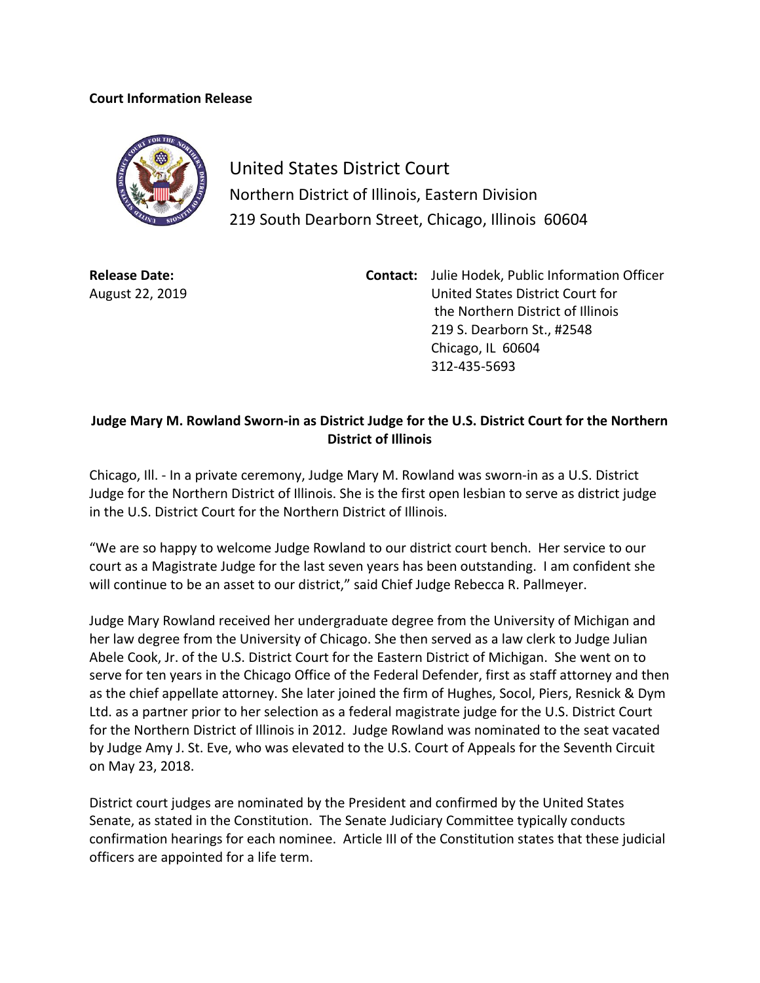## **Court Information Release**



United States District Court Northern District of Illinois, Eastern Division 219 South Dearborn Street, Chicago, Illinois 60604

**Release Date:** August 22, 2019 **Contact:** Julie Hodek, Public Information Officer United States District Court for the Northern District of Illinois 219 S. Dearborn St., #2548 Chicago, IL 60604 312-435-5693

## **Judge Mary M. Rowland Sworn-in as District Judge for the U.S. District Court for the Northern District of Illinois**

Chicago, Ill. - In a private ceremony, Judge Mary M. Rowland was sworn-in as a U.S. District Judge for the Northern District of Illinois. She is the first open lesbian to serve as district judge in the U.S. District Court for the Northern District of Illinois.

"We are so happy to welcome Judge Rowland to our district court bench. Her service to our court as a Magistrate Judge for the last seven years has been outstanding. I am confident she will continue to be an asset to our district," said Chief Judge Rebecca R. Pallmeyer.

Judge Mary Rowland received her undergraduate degree from the University of Michigan and her law degree from the University of Chicago. She then served as a law clerk to Judge Julian Abele Cook, Jr. of the U.S. District Court for the Eastern District of Michigan. She went on to serve for ten years in the Chicago Office of the Federal Defender, first as staff attorney and then as the chief appellate attorney. She later joined the firm of Hughes, Socol, Piers, Resnick & Dym Ltd. as a partner prior to her selection as a federal magistrate judge for the U.S. District Court for the Northern District of Illinois in 2012. Judge Rowland was nominated to the seat vacated by Judge [Amy J. St. Eve,](https://en.wikipedia.org/wiki/Amy_J._St._Eve) who was elevated to the [U.S. Court of Appeals for the Seventh Circuit](https://en.wikipedia.org/wiki/United_States_Court_of_Appeals_for_the_Seventh_Circuit) on May 23, 2018.

District court judges are nominated by the President and confirmed by the United States Senate, as stated in the Constitution. The Senate Judiciary Committee typically conducts confirmation hearings for each nominee. Article III of the Constitution states that these judicial officers are appointed for a life term.